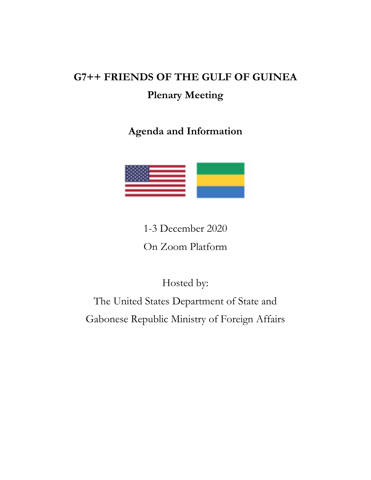# **G7++ FRIENDS OF THE GULF OF GUINEA Plenary Meeting**

**Agenda and Information**



1-3 December 2020 On Zoom Platform

Hosted by:

The United States Department of State and Gabonese Republic Ministry of Foreign Affairs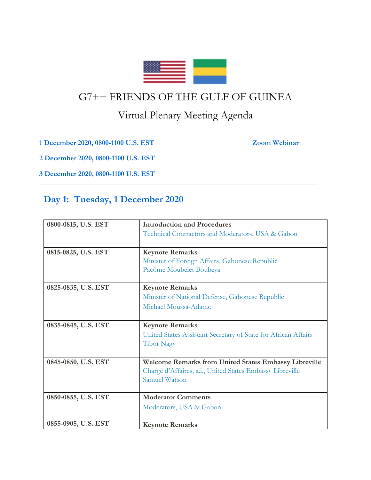

## G7++ FRIENDS OF THE GULF OF GUINEA

## Virtual Plenary Meeting Agenda

\_\_\_\_\_\_\_\_\_\_\_\_\_\_\_\_\_\_\_\_\_\_\_\_\_\_\_\_\_\_\_\_\_\_\_\_\_\_\_\_\_\_\_\_\_\_\_\_\_\_\_\_\_\_\_\_\_\_\_\_\_\_\_\_\_\_\_\_\_\_\_\_\_\_\_\_\_\_\_\_\_\_\_\_

**1 December 2020, 0800-1100 U.S. EST Zoom Webinar**

**2 December 2020, 0800-1100 U.S. EST**

**3 December 2020, 0800-1100 U.S. EST**

### **Day 1: Tuesday, 1 December 2020**

| 0800-0815, U.S. EST | <b>Introduction and Procedures</b>                             |
|---------------------|----------------------------------------------------------------|
|                     | Technical Contractors and Moderators, USA & Gabon              |
|                     |                                                                |
| 0815-0825, U.S. EST | <b>Keynote Remarks</b>                                         |
|                     | Minister of Foreign Affairs, Gabonese Republic                 |
|                     | Pacôme Moubelet Boubeya                                        |
| 0825-0835, U.S. EST | <b>Keynote Remarks</b>                                         |
|                     | Minister of National Defense, Gabonese Republic                |
|                     | Michael Moussa-Adamo                                           |
|                     |                                                                |
| 0835-0845, U.S. EST | <b>Keynote Remarks</b>                                         |
|                     | United States Assistant Secretary of State for African Affairs |
|                     | <b>Tibor Nagy</b>                                              |
|                     |                                                                |
| 0845-0850, U.S. EST | <b>Welcome Remarks from United States Embassy Libreville</b>   |
|                     | Chargé d'Affaires, a.i., United States Embassy Libreville      |
|                     | Samuel Watson                                                  |
|                     |                                                                |
| 0850-0855, U.S. EST | <b>Moderator Comments</b>                                      |
|                     | Moderators, USA & Gabon                                        |
|                     |                                                                |
| 0855-0905, U.S. EST | <b>Keynote Remarks</b>                                         |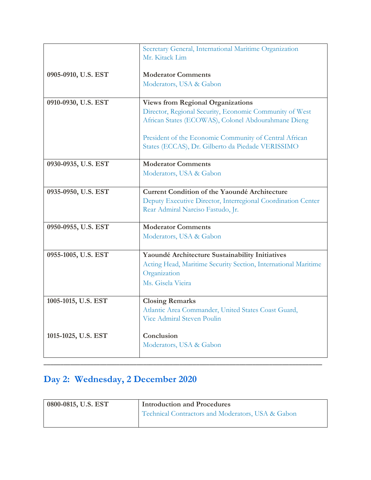|                     | Secretary General, International Maritime Organization<br>Mr. Kitack Lim                          |
|---------------------|---------------------------------------------------------------------------------------------------|
|                     |                                                                                                   |
| 0905-0910, U.S. EST | <b>Moderator Comments</b>                                                                         |
|                     | Moderators, USA & Gabon                                                                           |
|                     |                                                                                                   |
| 0910-0930, U.S. EST | <b>Views from Regional Organizations</b>                                                          |
|                     | Director, Regional Security, Economic Community of West                                           |
|                     | African States (ECOWAS), Colonel Abdourahmane Dieng                                               |
|                     | President of the Economic Community of Central African                                            |
|                     | States (ECCAS), Dr. Gilberto da Piedade VERISSIMO                                                 |
|                     |                                                                                                   |
| 0930-0935, U.S. EST | <b>Moderator Comments</b>                                                                         |
|                     | Moderators, USA & Gabon                                                                           |
|                     |                                                                                                   |
| 0935-0950, U.S. EST | Current Condition of the Yaoundé Architecture                                                     |
|                     | Deputy Executive Director, Interregional Coordination Center<br>Rear Admiral Narciso Fastudo, Jr. |
|                     |                                                                                                   |
| 0950-0955, U.S. EST | <b>Moderator Comments</b>                                                                         |
|                     | Moderators, USA & Gabon                                                                           |
|                     |                                                                                                   |
| 0955-1005, U.S. EST | Yaoundé Architecture Sustainability Initiatives                                                   |
|                     | Acting Head, Maritime Security Section, International Maritime                                    |
|                     | Organization                                                                                      |
|                     | Ms. Gisela Vieira                                                                                 |
| 1005-1015, U.S. EST | <b>Closing Remarks</b>                                                                            |
|                     | Atlantic Area Commander, United States Coast Guard,                                               |
|                     | Vice Admiral Steven Poulin                                                                        |
|                     |                                                                                                   |
| 1015-1025, U.S. EST | Conclusion                                                                                        |
|                     | Moderators, USA & Gabon                                                                           |
|                     |                                                                                                   |

# **Day 2: Wednesday, 2 December 2020**

| 0800-0815, U.S. EST | <b>Introduction and Procedures</b>                |
|---------------------|---------------------------------------------------|
|                     | Technical Contractors and Moderators, USA & Gabon |

\_\_\_\_\_\_\_\_\_\_\_\_\_\_\_\_\_\_\_\_\_\_\_\_\_\_\_\_\_\_\_\_\_\_\_\_\_\_\_\_\_\_\_\_\_\_\_\_\_\_\_\_\_\_\_\_\_\_\_\_\_\_\_\_\_\_\_\_\_\_\_\_\_\_\_\_\_\_\_\_\_\_\_\_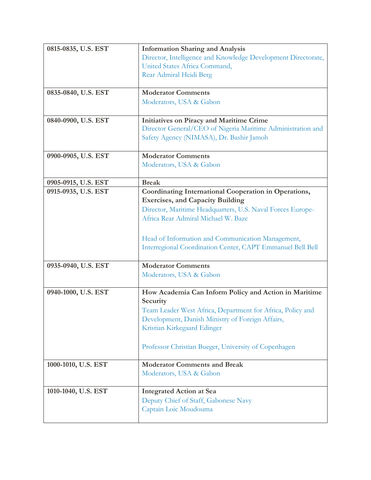| 0815-0835, U.S. EST | <b>Information Sharing and Analysis</b>                           |
|---------------------|-------------------------------------------------------------------|
|                     | Director, Intelligence and Knowledge Development Directorate,     |
|                     | United States Africa Command,                                     |
|                     | Rear Admiral Heidi Berg                                           |
|                     |                                                                   |
| 0835-0840, U.S. EST | <b>Moderator Comments</b>                                         |
|                     | Moderators, USA & Gabon                                           |
|                     |                                                                   |
| 0840-0900, U.S. EST | Initiatives on Piracy and Maritime Crime                          |
|                     | Director General/CEO of Nigeria Maritime Administration and       |
|                     | Safety Agency (NIMASA), Dr. Bashir Jamoh                          |
| 0900-0905, U.S. EST | <b>Moderator Comments</b>                                         |
|                     | Moderators, USA & Gabon                                           |
|                     |                                                                   |
| 0905-0915, U.S. EST | <b>Break</b>                                                      |
| 0915-0935, U.S. EST | <b>Coordinating International Cooperation in Operations,</b>      |
|                     | <b>Exercises, and Capacity Building</b>                           |
|                     | Director, Maritime Headquarters, U.S. Naval Forces Europe-        |
|                     | Africa Rear Admiral Michael W. Baze                               |
|                     |                                                                   |
|                     | Head of Information and Communication Management,                 |
|                     | Interregional Coordination Center, CAPT Emmanuel Bell Bell        |
|                     |                                                                   |
| 0935-0940, U.S. EST | <b>Moderator Comments</b>                                         |
|                     | Moderators, USA & Gabon                                           |
|                     |                                                                   |
| 0940-1000, U.S. EST | How Academia Can Inform Policy and Action in Maritime<br>Security |
|                     | Team Leader West Africa, Department for Africa, Policy and        |
|                     | Development, Danish Ministry of Foreign Affairs,                  |
|                     | Kristian Kirkegaard Edinger                                       |
|                     |                                                                   |
|                     | Professor Christian Bueger, University of Copenhagen              |
|                     |                                                                   |
| 1000-1010, U.S. EST | <b>Moderator Comments and Break</b>                               |
|                     | Moderators, USA & Gabon                                           |
|                     |                                                                   |
| 1010-1040, U.S. EST | <b>Integrated Action at Sea</b>                                   |
|                     | Deputy Chief of Staff, Gabonese Navy                              |
|                     | Captain Loic Moudouma                                             |
|                     |                                                                   |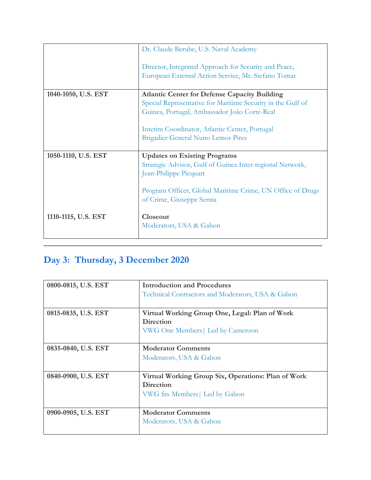|                     | Dr. Claude Berube, U.S. Naval Academy                                                                               |
|---------------------|---------------------------------------------------------------------------------------------------------------------|
|                     | Director, Integrated Approach for Security and Peace,<br>European External Action Service, Mr. Stefano Tomat        |
| 1040-1050, U.S. EST | <b>Atlantic Center for Defense Capacity Building</b><br>Special Representative for Maritime Security in the Gulf of |
|                     | Guinea, Portugal, Ambassador João Corte-Real                                                                        |
|                     | Interim Coordinator, Atlantic Center, Portugal                                                                      |
|                     | <b>Brigadier General Nuno Lemos Pires</b>                                                                           |
| 1050-1110, U.S. EST | <b>Updates on Existing Programs</b>                                                                                 |
|                     | Strategic Advisor, Gulf of Guinea Inter-regional Network,<br>Jean-Philippe Picquart                                 |
|                     | Program Officer, Global Maritime Crime, UN Office of Drugs<br>of Crime, Giuseppe Sernia                             |
| 1110-1115, U.S. EST | Closeout<br>Moderators, USA & Gabon                                                                                 |
|                     |                                                                                                                     |

## **Day 3: Thursday, 3 December 2020**

| 0800-0815, U.S. EST | <b>Introduction and Procedures</b>                  |
|---------------------|-----------------------------------------------------|
|                     | Technical Contractors and Moderators, USA & Gabon   |
|                     |                                                     |
| 0815-0835, U.S. EST | Virtual Working Group One, Legal: Plan of Work      |
|                     | <b>Direction</b>                                    |
|                     | VWG One Members   Led by Cameroon                   |
|                     |                                                     |
| 0835-0840, U.S. EST | <b>Moderator Comments</b>                           |
|                     | Moderators, USA & Gabon                             |
|                     |                                                     |
| 0840-0900, U.S. EST | Virtual Working Group Six, Operations: Plan of Work |
|                     | <b>Direction</b>                                    |
|                     | VWG Six Members   Led by Gabon                      |
|                     |                                                     |
| 0900-0905, U.S. EST | <b>Moderator Comments</b>                           |
|                     | Moderators, USA & Gabon                             |
|                     |                                                     |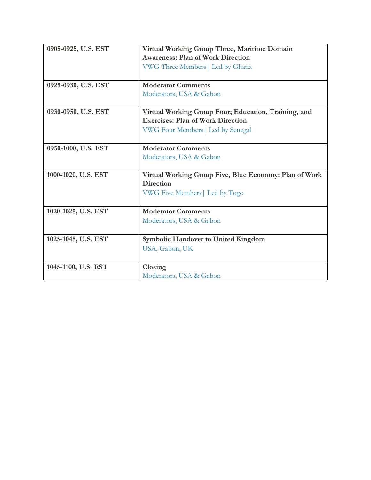| 0905-0925, U.S. EST | Virtual Working Group Three, Maritime Domain           |
|---------------------|--------------------------------------------------------|
|                     | <b>Awareness: Plan of Work Direction</b>               |
|                     | VWG Three Members   Led by Ghana                       |
|                     |                                                        |
| 0925-0930, U.S. EST | <b>Moderator Comments</b>                              |
|                     | Moderators, USA & Gabon                                |
|                     |                                                        |
| 0930-0950, U.S. EST | Virtual Working Group Four; Education, Training, and   |
|                     | <b>Exercises: Plan of Work Direction</b>               |
|                     | VWG Four Members   Led by Senegal                      |
|                     |                                                        |
| 0950-1000, U.S. EST | <b>Moderator Comments</b>                              |
|                     | Moderators, USA & Gabon                                |
|                     |                                                        |
| 1000-1020, U.S. EST | Virtual Working Group Five, Blue Economy: Plan of Work |
|                     | <b>Direction</b>                                       |
|                     | VWG Five Members   Led by Togo                         |
|                     |                                                        |
| 1020-1025, U.S. EST | <b>Moderator Comments</b>                              |
|                     | Moderators, USA & Gabon                                |
|                     |                                                        |
| 1025-1045, U.S. EST | <b>Symbolic Handover to United Kingdom</b>             |
|                     | USA, Gabon, UK                                         |
|                     |                                                        |
| 1045-1100, U.S. EST | Closing                                                |
|                     | Moderators, USA & Gabon                                |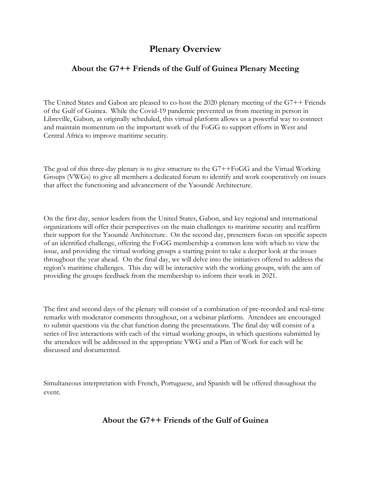### **Plenary Overview**

#### **About the G7++ Friends of the Gulf of Guinea Plenary Meeting**

The United States and Gabon are pleased to co-host the 2020 plenary meeting of the G7++ Friends of the Gulf of Guinea. While the Covid-19 pandemic prevented us from meeting in person in Libreville, Gabon, as originally scheduled, this virtual platform allows us a powerful way to connect and maintain momentum on the important work of the FoGG to support efforts in West and Central Africa to improve maritime security.

The goal of this three-day plenary is to give structure to the G7++FoGG and the Virtual Working Groups (VWGs) to give all members a dedicated forum to identify and work cooperatively on issues that affect the functioning and advancement of the Yaoundé Architecture.

On the first day, senior leaders from the United States, Gabon, and key regional and international organizations will offer their perspectives on the main challenges to maritime security and reaffirm their support for the Yaoundé Architecture. On the second day, presenters focus on specific aspects of an identified challenge, offering the FoGG membership a common lens with which to view the issue, and providing the virtual working groups a starting point to take a deeper look at the issues throughout the year ahead. On the final day, we will delve into the initiatives offered to address the region's maritime challenges. This day will be interactive with the working groups, with the aim of providing the groups feedback from the membership to inform their work in 2021.

The first and second days of the plenary will consist of a combination of pre-recorded and real-time remarks with moderator comments throughout, on a webinar platform. Attendees are encouraged to submit questions via the chat function during the presentations. The final day will consist of a series of live interactions with each of the virtual working groups, in which questions submitted by the attendees will be addressed in the appropriate VWG and a Plan of Work for each will be discussed and documented.

Simultaneous interpretation with French, Portuguese, and Spanish will be offered throughout the event.

### **About the G7++ Friends of the Gulf of Guinea**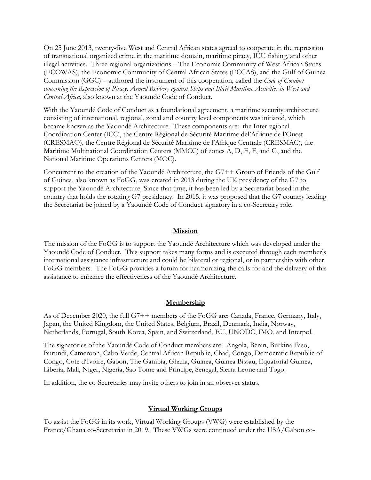On 25 June 2013, twenty-five West and Central African states agreed to cooperate in the repression of transnational organized crime in the maritime domain, maritime piracy, IUU fishing, and other illegal activities. Three regional organizations – The Economic Community of West African States (ECOWAS), the Economic Community of Central African States (ECCAS), and the Gulf of Guinea Commission (GGC) – authored the instrument of this cooperation, called the *Code of Conduct concerning the Repression of Piracy, Armed Robbery against Ships and Illicit Maritime Activities in West and Central Africa,* also known at the Yaoundé Code of Conduct.

With the Yaoundé Code of Conduct as a foundational agreement, a maritime security architecture consisting of international, regional, zonal and country level components was initiated, which became known as the Yaoundé Architecture. These components are: the Interregional Coordination Center (ICC), the Centre Régional de Sécurité Maritime del'Afrique de l'Ouest (CRESMAO), the Centre Régional de Sécurité Maritime de l'Afrique Centrale (CRESMAC), the Maritime Multinational Coordination Centers (MMCC) of zones A, D, E, F, and G, and the National Maritime Operations Centers (MOC).

Concurrent to the creation of the Yaoundé Architecture, the G7++ Group of Friends of the Gulf of Guinea, also known as FoGG, was created in 2013 during the UK presidency of the G7 to support the Yaoundé Architecture. Since that time, it has been led by a Secretariat based in the country that holds the rotating G7 presidency. In 2015, it was proposed that the G7 country leading the Secretariat be joined by a Yaoundé Code of Conduct signatory in a co-Secretary role.

#### **Mission**

The mission of the FoGG is to support the Yaoundé Architecture which was developed under the Yaoundé Code of Conduct. This support takes many forms and is executed through each member's international assistance infrastructure and could be bilateral or regional, or in partnership with other FoGG members. The FoGG provides a forum for harmonizing the calls for and the delivery of this assistance to enhance the effectiveness of the Yaoundé Architecture.

#### **Membership**

As of December 2020, the full G7++ members of the FoGG are: Canada, France, Germany, Italy, Japan, the United Kingdom, the United States, Belgium, Brazil, Denmark, India, Norway, Netherlands, Portugal, South Korea, Spain, and Switzerland, EU, UNODC, IMO, and Interpol.

The signatories of the Yaoundé Code of Conduct members are: Angola, Benin, Burkina Faso, Burundi, Cameroon, Cabo Verde, Central African Republic, Chad, Congo, Democratic Republic of Congo, Cote d'Ivoire, Gabon, The Gambia, Ghana, Guinea, Guinea Bissau, Equatorial Guinea, Liberia, Mali, Niger, Nigeria, Sao Tome and Principe, Senegal, Sierra Leone and Togo.

In addition, the co-Secretaries may invite others to join in an observer status.

#### **Virtual Working Groups**

To assist the FoGG in its work, Virtual Working Groups (VWG) were established by the France/Ghana co-Secretariat in 2019. These VWGs were continued under the USA/Gabon co